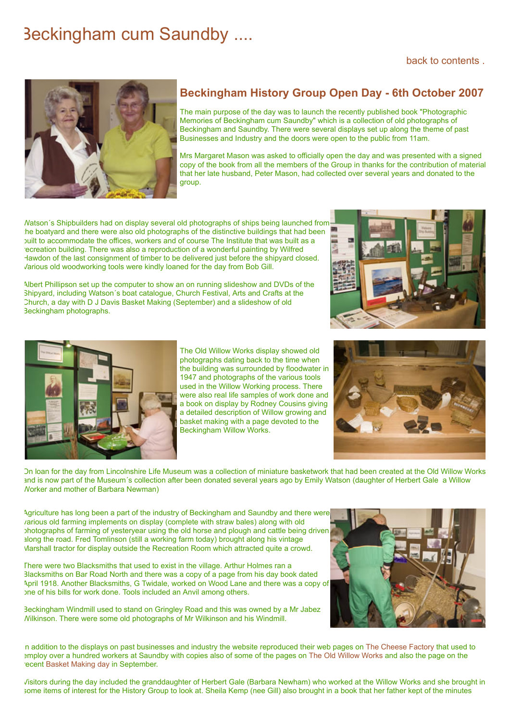## Beckingham cum Saundby ....



## **Beckingham History Group Open Day - 6th October 2007**

The main purpose of the day was to launch the recently published book "Photographic Memories of Beckingham cum Saundby" which is a collection of old photographs of Beckingham and Saundby. There were several displays set up along the theme of past Businesses and Industry and the doors were open to the public from 11am.

Mrs Margaret Mason was asked to officially open the day and was presented with a signed copy of the book from all the members of the Group in thanks for the contribution of material that her late husband, Peter Mason, had collected over several years and donated to the group.

Watson´s Shipbuilders had on display several old photographs of ships being launched from the boatyard and there were also old photographs of the distinctive buildings that had been built to accommodate the offices, workers and of course The Institute that was built as a recreation building. There was also a reproduction of a wonderful painting by Wilfred Hawdon of the last consignment of timber to be delivered just before the shipyard closed. Various old woodworking tools were kindly loaned for the day from Bob Gill.

Albert Phillipson set up the computer to show an on running slideshow and DVDs of the Shipyard, including Watson´s boat catalogue, Church Festival, Arts and Crafts at the Church, a day with D J Davis Basket Making (September) and a slideshow of old



Beckingham photographs.

The Old Willow Works display showed old photographs dating back to the time when the building was surrounded by floodwater in 1947 and photographs of the various tools used in the Willow Working process. There were also real life samples of work done and a book on display by Rodney Cousins giving a detailed description of Willow growing and basket making with a page devoted to the Beckingham Willow Works.



On loan for the day from Lincolnshire Life Museum was a collection of miniature basketwork that had been created at the Old Willow Works and is now part of the Museum's collection after been donated several years ago by Emily Watson (daughter of Herbert Gale a Willow Worker and mother of Barbara Newman)

Agriculture has long been a part of the industry of Beckingham and Saundby and there were various old farming implements on display (complete with straw bales) along with old photographs of farming of yesteryear using the old horse and plough and cattle being driven along the road. Fred Tomlinson (still a working farm today) brought along his vintage Marshall tractor for display outside the Recreation Room which attracted quite a crowd.

There were two Blacksmiths that used to exist in the village. Arthur Holmes ran a Blacksmiths on Bar Road North and there was a copy of a page from his day book dated April 1918. Another Blacksmiths, G Twidale, worked on Wood Lane and there was a copy of one of his bills for work done. Tools included an Anvil among others.

Beckingham Windmill used to stand on Gringley Road and this was owned by a Mr Jabez Wilkinson. There were some old photographs of Mr Wilkinson and his Windmill.



n addition to the displays on past businesses and industry the website reproduced their web pages on [The Cheese Factory](https://www.beckingham-northnotts.org.uk/history/cheese.html) that used to employ over a hundred workers at Saundby with copies also of some of the pages on [The Old Willow Works](https://www.beckingham-northnotts.org.uk/ww/willow.html) and also the page on the recent [Basket Making day](https://www.beckingham-northnotts.org.uk/hgbasketcourse.html) in September.

Visitors during the day included the granddaughter of Herbert Gale (Barbara Newham) who worked at the Willow Works and she brought in some items of interest for the History Group to look at. Sheila Kemp (nee Gill) also brought in a book that her father kept of the minutes